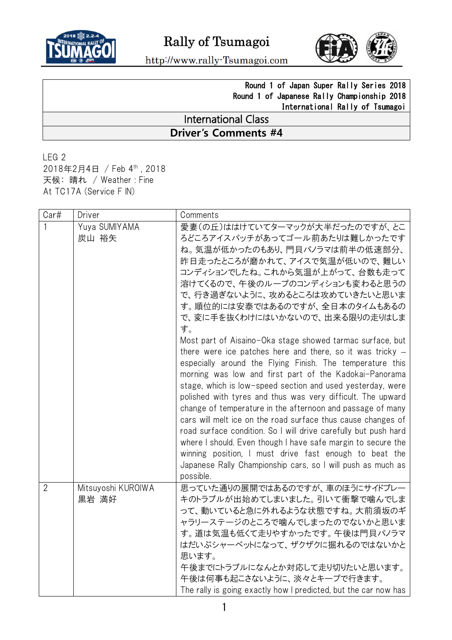



http://www.rally-Tsumagoi.com

## Round 1 of Japan Super Rally Series 2018 Round 1 of Japanese Rally Championship 2018 International Rally of Tsumagoi

## International Class **Driver's Comments #4**

LEG 2 2018年2月4日 / Feb 4 th , 2018 天候: 晴れ / Weather : Fine At TC17A (Service F IN)

| Car#           | Driver                      | Comments                                                                                                                                                                                                                                                                                                                                                                                                                                                                                                                                                                                                                                                                                                                                                                                                                                                                                                                                                                                                                                                                                   |
|----------------|-----------------------------|--------------------------------------------------------------------------------------------------------------------------------------------------------------------------------------------------------------------------------------------------------------------------------------------------------------------------------------------------------------------------------------------------------------------------------------------------------------------------------------------------------------------------------------------------------------------------------------------------------------------------------------------------------------------------------------------------------------------------------------------------------------------------------------------------------------------------------------------------------------------------------------------------------------------------------------------------------------------------------------------------------------------------------------------------------------------------------------------|
|                | Yuya SUMIYAMA<br>炭山 裕矢      | 愛妻(の丘)ははけていてターマックが大半だったのですが、とこ<br>ろどころアイスパッチがあってゴール前あたりは難しかったです<br>ね。気温が低かったのもあり、門貝パノラマは前半の低速部分、<br>昨日走ったところが磨かれて、アイスで気温が低いので、難しい<br>コンディションでしたね。これから気温が上がって、台数も走って<br>溶けてくるので、午後のループのコンディションも変わると思うの<br>で、行き過ぎないように、攻めるところは攻めていきたいと思いま<br>す。順位的には安泰ではあるのですが、全日本のタイムもあるの<br>で、変に手を抜くわけにはいかないので、出来る限りの走りはしま<br>す。<br>Most part of Aisaino-Oka stage showed tarmac surface, but<br>there were ice patches here and there, so it was tricky $-$<br>especially around the Flying Finish. The temperature this<br>morning was low and first part of the Kadokai-Panorama<br>stage, which is low-speed section and used yesterday, were<br>polished with tyres and thus was very difficult. The upward<br>change of temperature in the afternoon and passage of many<br>cars will melt ice on the road surface thus cause changes of<br>road surface condition. So I will drive carefully but push hard<br>where I should. Even though I have safe margin to secure the<br>winning position, I must drive fast enough to beat the<br>Japanese Rally Championship cars, so I will push as much as |
| $\overline{2}$ | Mitsuyoshi KUROIWA<br>黒岩 満好 | possible.<br>思っていた通りの展開ではあるのですが、車のほうにサイドブレー<br>キのトラブルが出始めてしまいました。引いて衝撃で噛んでしま<br>って、動いていると急に外れるような状態ですね。大前須坂のギ<br>ャラリーステージのところで噛んでしまったのでないかと思いま<br>す。道は気温も低くて走りやすかったです。午後は門貝パノラマ<br>はだいぶシャーベットになって、ザクザクに掘れるのではないかと<br>思います。<br>午後までにトラブルになんとか対応して走り切りたいと思います。<br>午後は何事も起こさないように、淡々とキープで行きます。<br>The rally is going exactly how I predicted, but the car now has                                                                                                                                                                                                                                                                                                                                                                                                                                                                                                                                                                                                                                                                                                                             |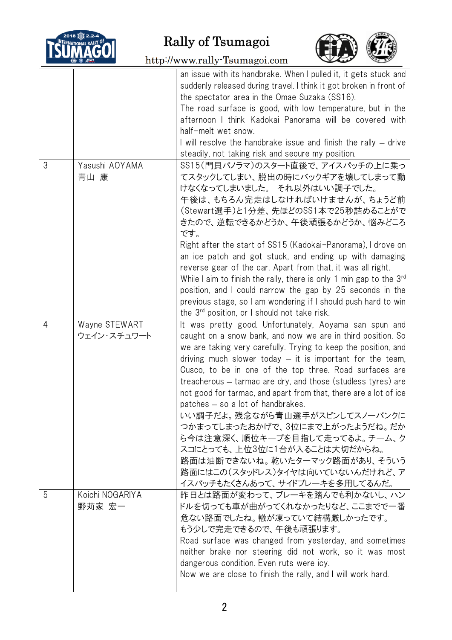

Rally of Tsumagoi



http://www.rally-Tsumagoi.com

|   |                              | an issue with its handbrake. When I pulled it, it gets stuck and<br>suddenly released during travel. I think it got broken in front of<br>the spectator area in the Omae Suzaka (SS16).<br>The road surface is good, with low temperature, but in the<br>afternoon I think Kadokai Panorama will be covered with<br>half-melt wet snow.<br>I will resolve the handbrake issue and finish the rally — drive<br>steadily, not taking risk and secure my position.                                                                                                                                                                                                                                                                      |
|---|------------------------------|--------------------------------------------------------------------------------------------------------------------------------------------------------------------------------------------------------------------------------------------------------------------------------------------------------------------------------------------------------------------------------------------------------------------------------------------------------------------------------------------------------------------------------------------------------------------------------------------------------------------------------------------------------------------------------------------------------------------------------------|
| 3 | Yasushi AOYAMA<br>青山 康       | SS15(門貝パノラマ)のスタート直後で、アイスパッチの上に乗っ<br>てスタックしてしまい、脱出の時にバックギアを壊してしまって動<br>けなくなってしまいました。それ以外はいい調子でした。<br>午後は、もちろん完走はしなければいけませんが、ちょうど前<br>(Stewart選手)と1分差、先ほどのSS1本で25秒詰めることがで<br>きたので、逆転できるかどうか、午後頑張るかどうか、悩みどころ<br>です。<br>Right after the start of SS15 (Kadokai-Panorama), I drove on<br>an ice patch and got stuck, and ending up with damaging<br>reverse gear of the car. Apart from that, it was all right.<br>While I aim to finish the rally, there is only 1 min gap to the $3^{rd}$<br>position, and I could narrow the gap by 25 seconds in the<br>previous stage, so I am wondering if I should push hard to win<br>the $3^{rd}$ position, or I should not take risk.                                                           |
| 4 | Wayne STEWART<br>ウェイン・スチュワート | It was pretty good. Unfortunately, Aoyama san spun and<br>caught on a snow bank, and now we are in third position. So<br>we are taking very carefully. Trying to keep the position, and<br>driving much slower today $-$ it is important for the team,<br>Cusco, to be in one of the top three. Road surfaces are<br>treacherous – tarmac are dry, and those (studless tyres) are<br>not good for tarmac, and apart from that, there are a lot of ice<br>patches - so a lot of handbrakes.<br>いい調子だよ。残念ながら青山選手がスピンしてスノーバンクに<br>つかまってしまったおかげで、3位にまで上がったようだね。だか<br>ら今は注意深く、順位キープを目指して走ってるよ。チーム、ク<br>スコにとっても、上位3位に1台が入ることは大切だからね。<br>路面は油断できないね。乾いたターマック路面があり、そういう<br>路面にはこの(スタッドレス)タイヤは向いていないんだけれど、ア<br>イスパッチもたくさんあって、サイドブレーキを多用してるんだ。 |
| 5 | Koichi NOGARIYA<br>野苅家 宏一    | 昨日とは路面が変わって、ブレーキを踏んでも利かないし、ハン<br>ドルを切っても車が曲がってくれなかったりなど、ここまでで一番<br>危ない路面でしたね。轍が凍っていて結構厳しかったです。<br>もう少しで完走できるので、午後も頑張ります。<br>Road surface was changed from yesterday, and sometimes<br>neither brake nor steering did not work, so it was most<br>dangerous condition. Even ruts were icy.<br>Now we are close to finish the rally, and I will work hard.                                                                                                                                                                                                                                                                                                                                                                             |